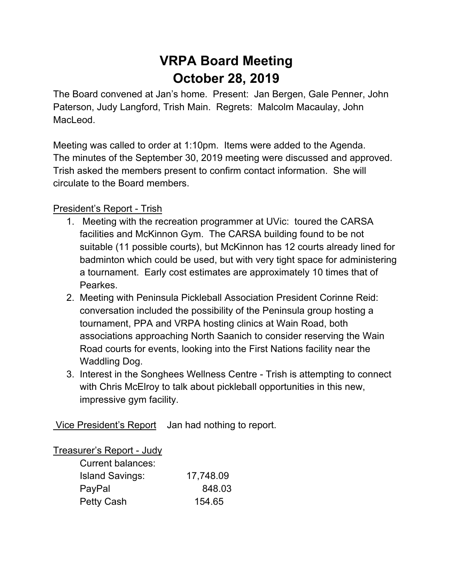# **VRPA Board Meeting October 28, 2019**

The Board convened at Jan's home. Present: Jan Bergen, Gale Penner, John Paterson, Judy Langford, Trish Main. Regrets: Malcolm Macaulay, John MacLeod.

Meeting was called to order at 1:10pm. Items were added to the Agenda. The minutes of the September 30, 2019 meeting were discussed and approved. Trish asked the members present to confirm contact information. She will circulate to the Board members.

# President's Report - Trish

- 1. Meeting with the recreation programmer at UVic: toured the CARSA facilities and McKinnon Gym. The CARSA building found to be not suitable (11 possible courts), but McKinnon has 12 courts already lined for badminton which could be used, but with very tight space for administering a tournament. Early cost estimates are approximately 10 times that of Pearkes.
- 2. Meeting with Peninsula Pickleball Association President Corinne Reid: conversation included the possibility of the Peninsula group hosting a tournament, PPA and VRPA hosting clinics at Wain Road, both associations approaching North Saanich to consider reserving the Wain Road courts for events, looking into the First Nations facility near the Waddling Dog.
- 3. Interest in the Songhees Wellness Centre Trish is attempting to connect with Chris McElroy to talk about pickleball opportunities in this new, impressive gym facility.

Vice President's Report Jan had nothing to report.

#### Treasurer's Report - Judy

| Current balances:      |           |
|------------------------|-----------|
| <b>Island Savings:</b> | 17,748.09 |
| PayPal                 | 848.03    |
| <b>Petty Cash</b>      | 154.65    |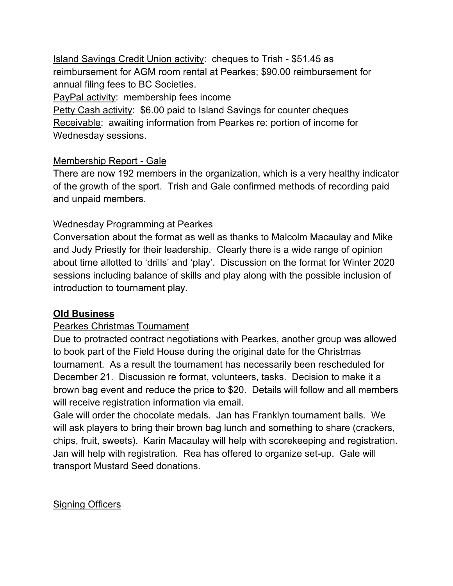Island Savings Credit Union activity: cheques to Trish - \$51.45 as reimbursement for AGM room rental at Pearkes; \$90.00 reimbursement for annual filing fees to BC Societies.

PayPal activity: membership fees income

Petty Cash activity: \$6.00 paid to Island Savings for counter cheques Receivable: awaiting information from Pearkes re: portion of income for Wednesday sessions.

## Membership Report - Gale

There are now 192 members in the organization, which is a very healthy indicator of the growth of the sport. Trish and Gale confirmed methods of recording paid and unpaid members.

## Wednesday Programming at Pearkes

Conversation about the format as well as thanks to Malcolm Macaulay and Mike and Judy Priestly for their leadership. Clearly there is a wide range of opinion about time allotted to 'drills' and 'play'. Discussion on the format for Winter 2020 sessions including balance of skills and play along with the possible inclusion of introduction to tournament play.

# **Old Business**

# Pearkes Christmas Tournament

Due to protracted contract negotiations with Pearkes, another group was allowed to book part of the Field House during the original date for the Christmas tournament. As a result the tournament has necessarily been rescheduled for December 21. Discussion re format, volunteers, tasks. Decision to make it a brown bag event and reduce the price to \$20. Details will follow and all members will receive registration information via email.

Gale will order the chocolate medals. Jan has Franklyn tournament balls. We will ask players to bring their brown bag lunch and something to share (crackers, chips, fruit, sweets). Karin Macaulay will help with scorekeeping and registration. Jan will help with registration. Rea has offered to organize set-up. Gale will transport Mustard Seed donations.

#### Signing Officers